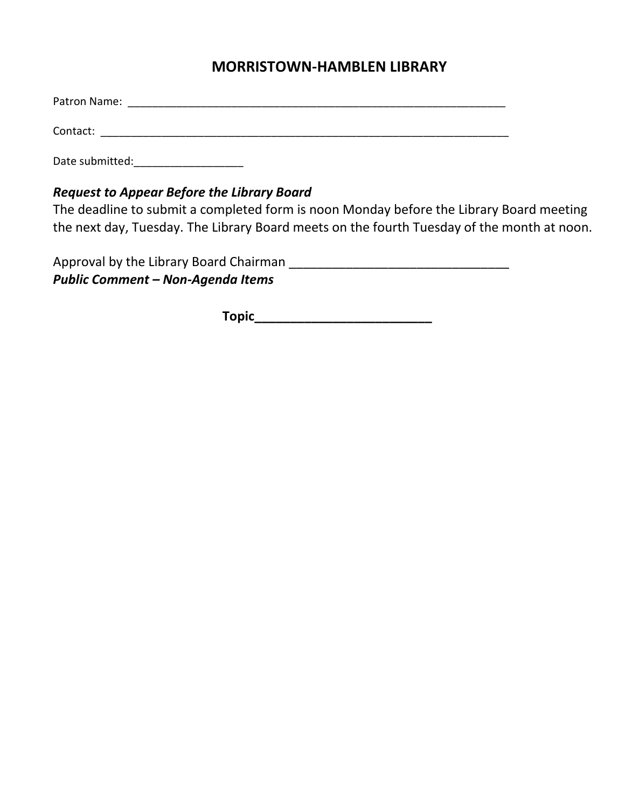# **MORRISTOWN-HAMBLEN LIBRARY**

Patron Name: **Example 2018** 

Contact: \_\_\_\_\_\_\_\_\_\_\_\_\_\_\_\_\_\_\_\_\_\_\_\_\_\_\_\_\_\_\_\_\_\_\_\_\_\_\_\_\_\_\_\_\_\_\_\_\_\_\_\_\_\_\_\_\_\_\_\_\_\_\_\_\_\_\_

Date submitted:\_\_\_\_\_\_\_\_\_\_\_\_\_\_\_\_\_\_

## *Request to Appear Before the Library Board*

The deadline to submit a completed form is noon Monday before the Library Board meeting the next day, Tuesday. The Library Board meets on the fourth Tuesday of the month at noon.

Approval by the Library Board Chairman \_\_\_\_\_\_\_\_\_\_\_\_\_\_\_\_\_\_\_\_\_\_\_\_\_\_\_\_\_\_\_ *Public Comment – Non-Agenda Items* 

**Topic\_\_\_\_\_\_\_\_\_\_\_\_\_\_\_\_\_\_\_\_\_\_\_\_\_**